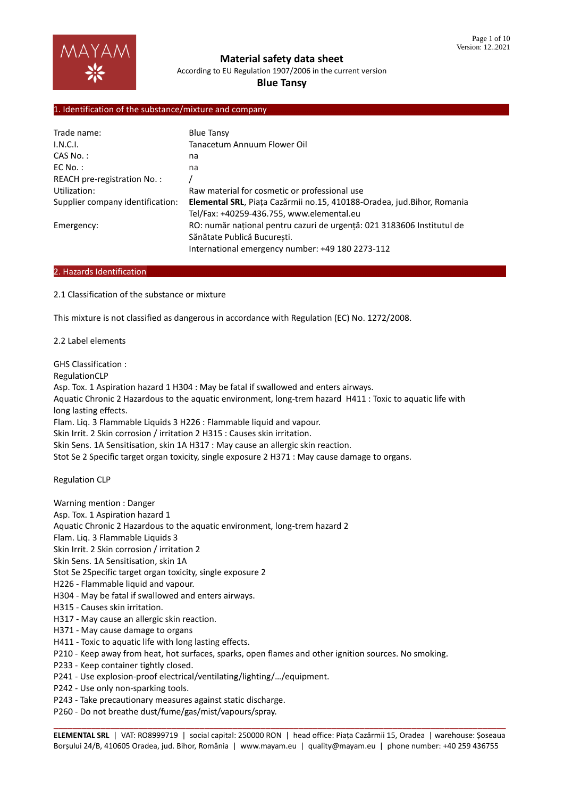

According to EU Regulation 1907/2006 in the current version

# **Blue Tansy**

#### 1. Identification of the substance/mixture and company

| Trade name:                      | <b>Blue Tansy</b>                                                      |
|----------------------------------|------------------------------------------------------------------------|
| I.N.C.I.                         | Tanacetum Annuum Flower Oil                                            |
| $CAS No.$ :                      | na                                                                     |
| $EC$ No.:                        | na                                                                     |
| REACH pre-registration No.:      |                                                                        |
| Utilization:                     | Raw material for cosmetic or professional use                          |
| Supplier company identification: | Elemental SRL, Piața Cazărmii no.15, 410188-Oradea, jud.Bihor, Romania |
|                                  | Tel/Fax: +40259-436.755, www.elemental.eu                              |
| Emergency:                       | RO: număr national pentru cazuri de urgentă: 021 3183606 Institutul de |
|                                  | Sănătate Publică București.                                            |
|                                  | International emergency number: +49 180 2273-112                       |

#### 2. Hazards Identification

2.1 Classification of the substance or mixture

This mixture is not classified as dangerous in accordance with Regulation (EC) No. 1272/2008.

2.2 Label elements

GHS Classification :

RegulationCLP

Asp. Tox. 1 Aspiration hazard 1 H304 : May be fatal if swallowed and enters airways.

Aquatic Chronic 2 Hazardous to the aquatic environment, long-trem hazard H411 : Toxic to aquatic life with long lasting effects.

Flam. Liq. 3 Flammable Liquids 3 H226 : Flammable liquid and vapour.

Skin Irrit. 2 Skin corrosion / irritation 2 H315 : Causes skin irritation.

Skin Sens. 1A Sensitisation, skin 1A H317 : May cause an allergic skin reaction.

Stot Se 2 Specific target organ toxicity, single exposure 2 H371 : May cause damage to organs.

Regulation CLP

Warning mention : Danger

Asp. Tox. 1 Aspiration hazard 1

Aquatic Chronic 2 Hazardous to the aquatic environment, long-trem hazard 2

Flam. Liq. 3 Flammable Liquids 3

Skin Irrit. 2 Skin corrosion / irritation 2

Skin Sens. 1A Sensitisation, skin 1A

Stot Se 2Specific target organ toxicity, single exposure 2

H226 - Flammable liquid and vapour.

H304 - May be fatal if swallowed and enters airways.

- H315 Causes skin irritation.
- H317 May cause an allergic skin reaction.
- H371 May cause damage to organs
- H411 Toxic to aquatic life with long lasting effects.
- P210 Keep away from heat, hot surfaces, sparks, open flames and other ignition sources. No smoking.
- P233 Keep container tightly closed.
- P241 Use explosion-proof electrical/ventilating/lighting/…/equipment.
- P242 Use only non-sparking tools.
- P243 Take precautionary measures against static discharge.

P260 - Do not breathe dust/fume/gas/mist/vapours/spray.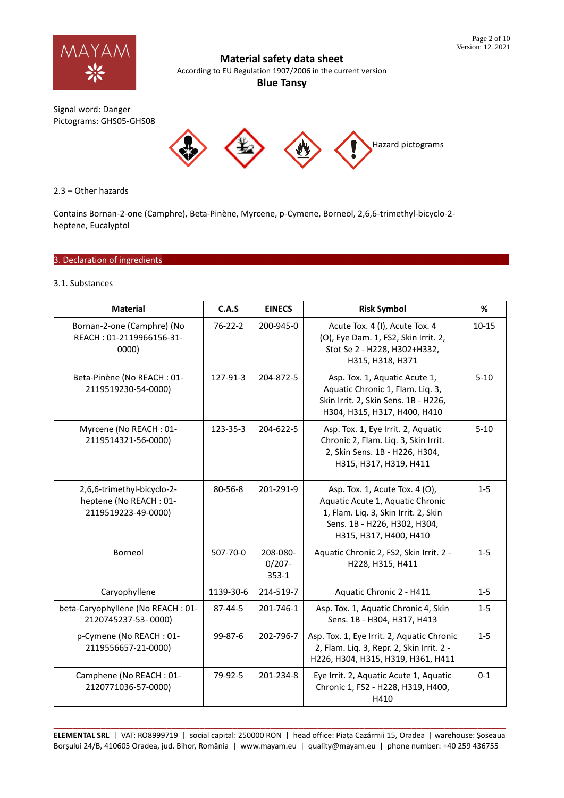

According to EU Regulation 1907/2006 in the current version

**Blue Tansy**

Signal word: Danger Pictograms: GHS05-GHS08



# 2.3 – Other hazards

Contains Bornan-2-one (Camphre), Beta-Pinène, Myrcene, p-Cymene, Borneol, 2,6,6-trimethyl-bicyclo-2 heptene, Eucalyptol

# 3. Declaration of ingredients

# 3.1. Substances

| <b>Material</b>                                                             | C.A.S         | <b>EINECS</b>                      | <b>Risk Symbol</b>                                                                                                                                                   | %         |
|-----------------------------------------------------------------------------|---------------|------------------------------------|----------------------------------------------------------------------------------------------------------------------------------------------------------------------|-----------|
| Bornan-2-one (Camphre) (No<br>REACH: 01-2119966156-31-<br>0000)             | $76 - 22 - 2$ | 200-945-0                          | Acute Tox. 4 (I), Acute Tox. 4<br>(O), Eye Dam. 1, FS2, Skin Irrit. 2,<br>Stot Se 2 - H228, H302+H332,<br>H315, H318, H371                                           | $10 - 15$ |
| Beta-Pinène (No REACH: 01-<br>2119519230-54-0000)                           | 127-91-3      | 204-872-5                          | Asp. Tox. 1, Aquatic Acute 1,<br>Aquatic Chronic 1, Flam. Liq. 3,<br>Skin Irrit. 2, Skin Sens. 1B - H226,<br>H304, H315, H317, H400, H410                            | $5 - 10$  |
| Myrcene (No REACH: 01-<br>2119514321-56-0000)                               | 123-35-3      | 204-622-5                          | Asp. Tox. 1, Eye Irrit. 2, Aquatic<br>Chronic 2, Flam. Liq. 3, Skin Irrit.<br>2, Skin Sens. 1B - H226, H304,<br>H315, H317, H319, H411                               | $5 - 10$  |
| 2,6,6-trimethyl-bicyclo-2-<br>heptene (No REACH: 01-<br>2119519223-49-0000) | $80 - 56 - 8$ | 201-291-9                          | Asp. Tox. 1, Acute Tox. 4 (O),<br>Aquatic Acute 1, Aquatic Chronic<br>1, Flam. Liq. 3, Skin Irrit. 2, Skin<br>Sens. 1B - H226, H302, H304,<br>H315, H317, H400, H410 | $1 - 5$   |
| Borneol                                                                     | 507-70-0      | 208-080-<br>$0/207 -$<br>$353 - 1$ | Aquatic Chronic 2, FS2, Skin Irrit. 2 -<br>H228, H315, H411                                                                                                          | $1 - 5$   |
| Caryophyllene                                                               | 1139-30-6     | 214-519-7                          | Aquatic Chronic 2 - H411                                                                                                                                             | $1 - 5$   |
| beta-Caryophyllene (No REACH: 01-<br>2120745237-53-0000)                    | $87 - 44 - 5$ | 201-746-1                          | Asp. Tox. 1, Aquatic Chronic 4, Skin<br>Sens. 1B - H304, H317, H413                                                                                                  | $1 - 5$   |
| p-Cymene (No REACH: 01-<br>2119556657-21-0000)                              | $99 - 87 - 6$ | 202-796-7                          | Asp. Tox. 1, Eye Irrit. 2, Aquatic Chronic<br>2, Flam. Liq. 3, Repr. 2, Skin Irrit. 2 -<br>H226, H304, H315, H319, H361, H411                                        | $1 - 5$   |
| Camphene (No REACH: 01-<br>2120771036-57-0000)                              | 79-92-5       | 201-234-8                          | Eye Irrit. 2, Aquatic Acute 1, Aquatic<br>Chronic 1, FS2 - H228, H319, H400,<br>H410                                                                                 | $0 - 1$   |

\_\_\_\_\_\_\_\_\_\_\_\_\_\_\_\_\_\_\_\_\_\_\_\_\_\_\_\_\_\_\_\_\_\_\_\_\_\_\_\_\_\_\_\_\_\_\_\_\_\_\_\_\_\_\_\_\_\_\_\_\_\_\_\_\_\_\_\_\_\_\_\_\_\_\_\_\_\_\_\_\_\_\_\_\_\_\_\_\_\_\_\_\_\_\_\_ **ELEMENTAL SRL** | VAT: RO8999719 | social capital: 250000 RON | head office: Piața Cazărmii 15, Oradea | warehouse: Șoseaua Borșului 24/B, 410605 Oradea, jud. Bihor, România | www.mayam.eu | quality@mayam.eu | phone number: +40 259 436755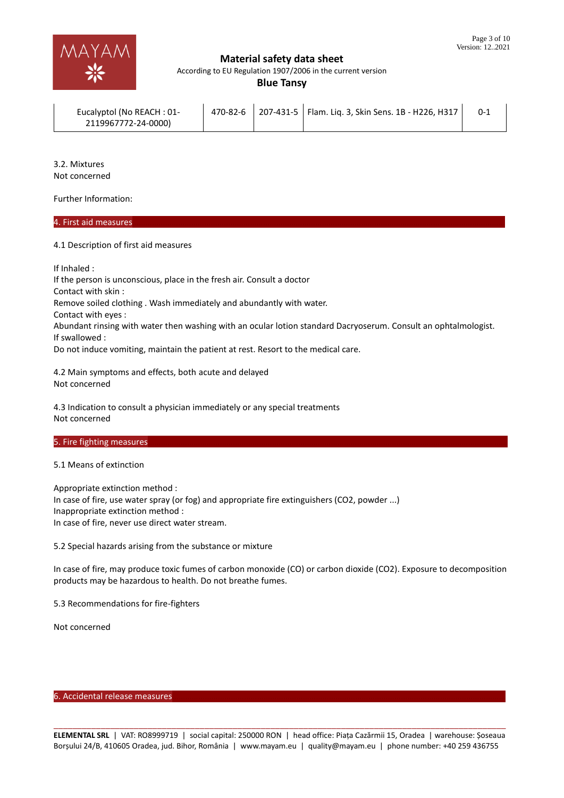

According to EU Regulation 1907/2006 in the current version

**Blue Tansy**

| Eucalyptol (No REACH: 01- |  | 470-82-6 207-431-5   Flam. Lig. 3, Skin Sens. 1B - H226, H317 |  |
|---------------------------|--|---------------------------------------------------------------|--|
| 2119967772-24-0000)       |  |                                                               |  |

3.2. Mixtures Not concerned

Further Information:

# 4. First aid measures………………………………………………………………………………………………………………………………………………………

4.1 Description of first aid measures

If Inhaled :

If the person is unconscious, place in the fresh air. Consult a doctor Contact with skin : Remove soiled clothing . Wash immediately and abundantly with water. Contact with eyes : Abundant rinsing with water then washing with an ocular lotion standard Dacryoserum. Consult an ophtalmologist. If swallowed : Do not induce vomiting, maintain the patient at rest. Resort to the medical care.

4.2 Main symptoms and effects, both acute and delayed Not concerned

4.3 Indication to consult a physician immediately or any special treatments Not concerned

#### 5. Fire fighting measures

5.1 Means of extinction

Appropriate extinction method : In case of fire, use water spray (or fog) and appropriate fire extinguishers (CO2, powder ...) Inappropriate extinction method : In case of fire, never use direct water stream.

5.2 Special hazards arising from the substance or mixture

In case of fire, may produce toxic fumes of carbon monoxide (CO) or carbon dioxide (CO2). Exposure to decomposition products may be hazardous to health. Do not breathe fumes.

5.3 Recommendations for fire-fighters

Not concerned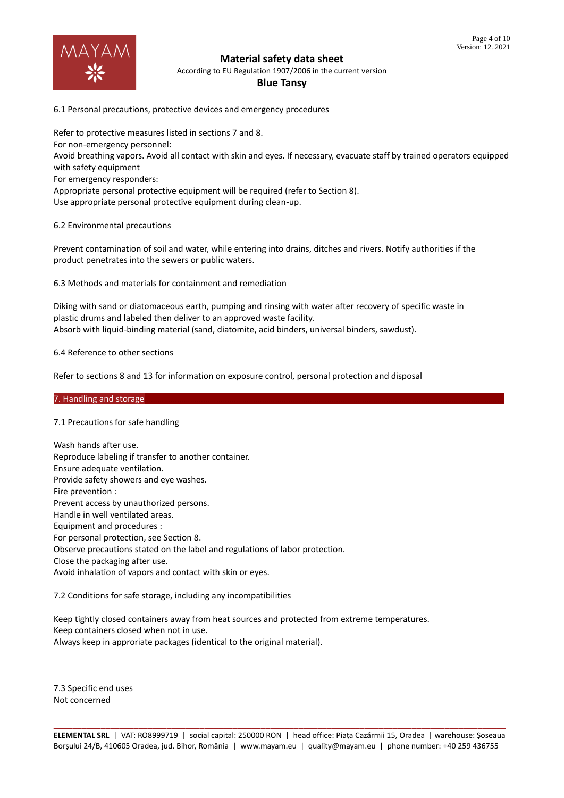

According to EU Regulation 1907/2006 in the current version

#### **Blue Tansy**

6.1 Personal precautions, protective devices and emergency procedures

Refer to protective measures listed in sections 7 and 8. For non-emergency personnel: Avoid breathing vapors. Avoid all contact with skin and eyes. If necessary, evacuate staff by trained operators equipped with safety equipment For emergency responders: Appropriate personal protective equipment will be required (refer to Section 8). Use appropriate personal protective equipment during clean-up.

6.2 Environmental precautions

Prevent contamination of soil and water, while entering into drains, ditches and rivers. Notify authorities if the product penetrates into the sewers or public waters.

6.3 Methods and materials for containment and remediation

Diking with sand or diatomaceous earth, pumping and rinsing with water after recovery of specific waste in plastic drums and labeled then deliver to an approved waste facility. Absorb with liquid-binding material (sand, diatomite, acid binders, universal binders, sawdust).

6.4 Reference to other sections

Refer to sections 8 and 13 for information on exposure control, personal protection and disposal

#### 7. Handling and storage

#### 7.1 Precautions for safe handling

Wash hands after use. Reproduce labeling if transfer to another container. Ensure adequate ventilation. Provide safety showers and eye washes. Fire prevention : Prevent access by unauthorized persons. Handle in well ventilated areas. Equipment and procedures : For personal protection, see Section 8. Observe precautions stated on the label and regulations of labor protection. Close the packaging after use. Avoid inhalation of vapors and contact with skin or eyes.

7.2 Conditions for safe storage, including any incompatibilities

Keep tightly closed containers away from heat sources and protected from extreme temperatures. Keep containers closed when not in use. Always keep in approriate packages (identical to the original material).

7.3 Specific end uses Not concerned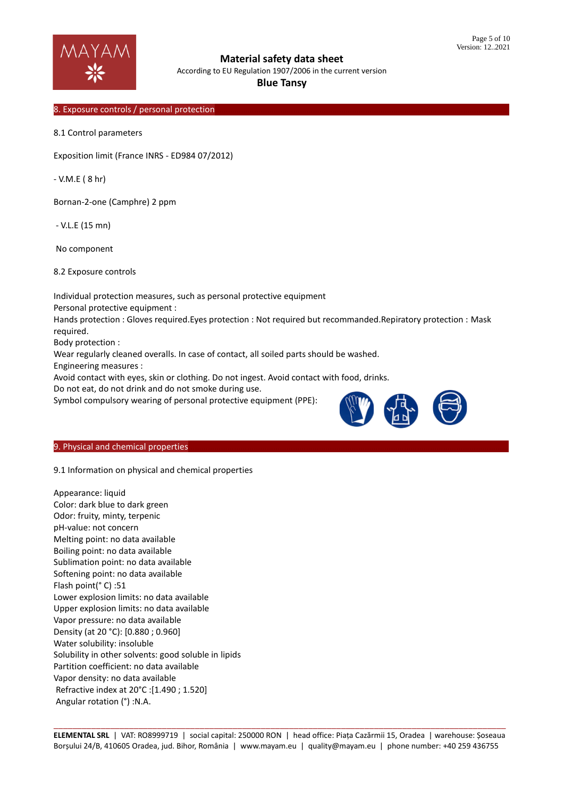

According to EU Regulation 1907/2006 in the current version

# **Blue Tansy**

### 8. Exposure controls / personal protection

8.1 Control parameters

Exposition limit (France INRS - ED984 07/2012)

- V.M.E ( 8 hr)

Bornan-2-one (Camphre) 2 ppm

- V.L.E (15 mn)

No component

8.2 Exposure controls

Individual protection measures, such as personal protective equipment

Personal protective equipment :

Hands protection : Gloves required.Eyes protection : Not required but recommanded.Repiratory protection : Mask required.

Body protection :

Wear regularly cleaned overalls. In case of contact, all soiled parts should be washed.

Engineering measures :

Avoid contact with eyes, skin or clothing. Do not ingest. Avoid contact with food, drinks.

Do not eat, do not drink and do not smoke during use.

Symbol compulsory wearing of personal protective equipment (PPE):



#### 9. Physical and chemical properties

9.1 Information on physical and chemical properties

Appearance: liquid Color: dark blue to dark green Odor: fruity, minty, terpenic pH-value: not concern Melting point: no data available Boiling point: no data available Sublimation point: no data available Softening point: no data available Flash point(° C) :51 Lower explosion limits: no data available Upper explosion limits: no data available Vapor pressure: no data available Density (at 20 °C): [0.880 ; 0.960] Water solubility: insoluble Solubility in other solvents: good soluble in lipids Partition coefficient: no data available Vapor density: no data available Refractive index at 20°C :[1.490 ; 1.520] Angular rotation (°) :N.A.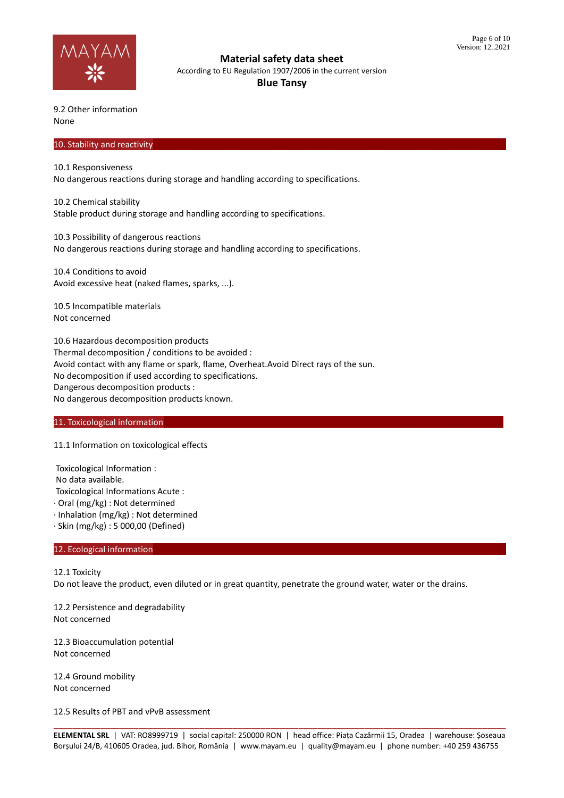

According to EU Regulation 1907/2006 in the current version

**Blue Tansy**

9.2 Other information None

#### 10. Stability and reactivity

10.1 Responsiveness

No dangerous reactions during storage and handling according to specifications.

10.2 Chemical stability Stable product during storage and handling according to specifications.

10.3 Possibility of dangerous reactions No dangerous reactions during storage and handling according to specifications.

10.4 Conditions to avoid Avoid excessive heat (naked flames, sparks, ...).

10.5 Incompatible materials Not concerned

10.6 Hazardous decomposition products Thermal decomposition / conditions to be avoided : Avoid contact with any flame or spark, flame, Overheat.Avoid Direct rays of the sun. No decomposition if used according to specifications. Dangerous decomposition products : No dangerous decomposition products known.

# 11. Toxicological information

# 11.1 Information on toxicological effects

Toxicological Information :

No data available. Toxicological Informations Acute :

· Oral (mg/kg) : Not determined

· Inhalation (mg/kg) : Not determined

· Skin (mg/kg) : 5 000,00 (Defined)

# 12. Ecological information

12.1 Toxicity

Do not leave the product, even diluted or in great quantity, penetrate the ground water, water or the drains.

12.2 Persistence and degradability Not concerned

12.3 Bioaccumulation potential Not concerned

12.4 Ground mobility Not concerned

12.5 Results of PBT and vPvB assessment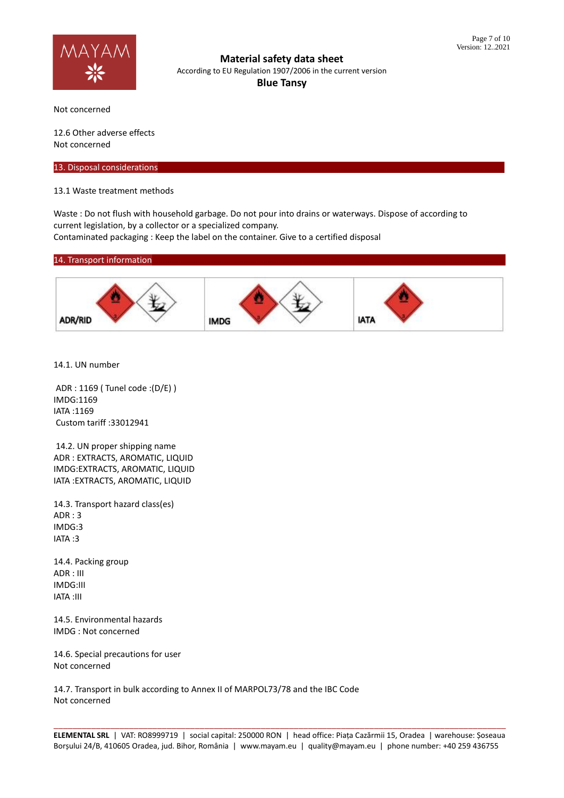

**Material safety data sheet** According to EU Regulation 1907/2006 in the current version **Blue Tansy**

Not concerned

12.6 Other adverse effects Not concerned

13. Disposal considerations

13.1 Waste treatment methods

Waste : Do not flush with household garbage. Do not pour into drains or waterways. Dispose of according to current legislation, by a collector or a specialized company. Contaminated packaging : Keep the label on the container. Give to a certified disposal

#### 14. Transport information



14.1. UN number

ADR : 1169 ( Tunel code :(D/E) ) IMDG:1169 IATA :1169 Custom tariff :33012941

14.2. UN proper shipping name ADR : EXTRACTS, AROMATIC, LIQUID IMDG:EXTRACTS, AROMATIC, LIQUID IATA :EXTRACTS, AROMATIC, LIQUID

14.3. Transport hazard class(es) ADR : 3 IMDG:3 IATA :3

14.4. Packing group  $ADR \cdot III$ IMDG:III IATA :III

14.5. Environmental hazards IMDG : Not concerned

14.6. Special precautions for user Not concerned

14.7. Transport in bulk according to Annex II of MARPOL73/78 and the IBC Code Not concerned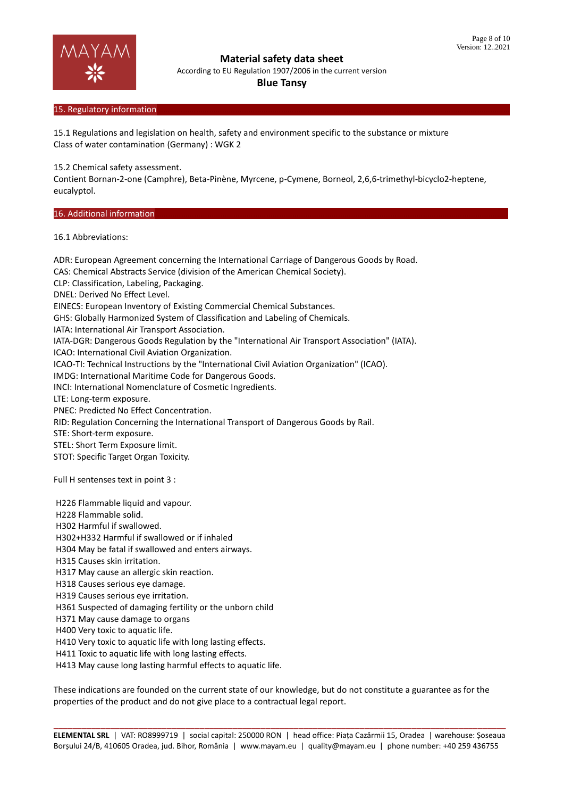

According to EU Regulation 1907/2006 in the current version

#### **Blue Tansy**

### 15. Regulatory information

15.1 Regulations and legislation on health, safety and environment specific to the substance or mixture Class of water contamination (Germany) : WGK 2

15.2 Chemical safety assessment.

Contient Bornan-2-one (Camphre), Beta-Pinène, Myrcene, p-Cymene, Borneol, 2,6,6-trimethyl-bicyclo2-heptene, eucalyptol.

# 16. Additional information

16.1 Abbreviations:

ADR: European Agreement concerning the International Carriage of Dangerous Goods by Road. CAS: Chemical Abstracts Service (division of the American Chemical Society). CLP: Classification, Labeling, Packaging. DNEL: Derived No Effect Level. EINECS: European Inventory of Existing Commercial Chemical Substances. GHS: Globally Harmonized System of Classification and Labeling of Chemicals. IATA: International Air Transport Association. IATA-DGR: Dangerous Goods Regulation by the "International Air Transport Association" (IATA). ICAO: International Civil Aviation Organization. ICAO-TI: Technical Instructions by the "International Civil Aviation Organization" (ICAO). IMDG: International Maritime Code for Dangerous Goods. INCI: International Nomenclature of Cosmetic Ingredients. LTE: Long-term exposure. PNEC: Predicted No Effect Concentration. RID: Regulation Concerning the International Transport of Dangerous Goods by Rail. STE: Short-term exposure. STEL: Short Term Exposure limit. STOT: Specific Target Organ Toxicity. Full H sentenses text in point 3 : H226 Flammable liquid and vapour. H228 Flammable solid. H302 Harmful if swallowed. H302+H332 Harmful if swallowed or if inhaled H304 May be fatal if swallowed and enters airways. H315 Causes skin irritation. H317 May cause an allergic skin reaction. H318 Causes serious eye damage.

- H319 Causes serious eye irritation.
- H361 Suspected of damaging fertility or the unborn child
- H371 May cause damage to organs
- H400 Very toxic to aquatic life.
- H410 Very toxic to aquatic life with long lasting effects.
- H411 Toxic to aquatic life with long lasting effects.
- H413 May cause long lasting harmful effects to aquatic life.

These indications are founded on the current state of our knowledge, but do not constitute a guarantee as for the properties of the product and do not give place to a contractual legal report.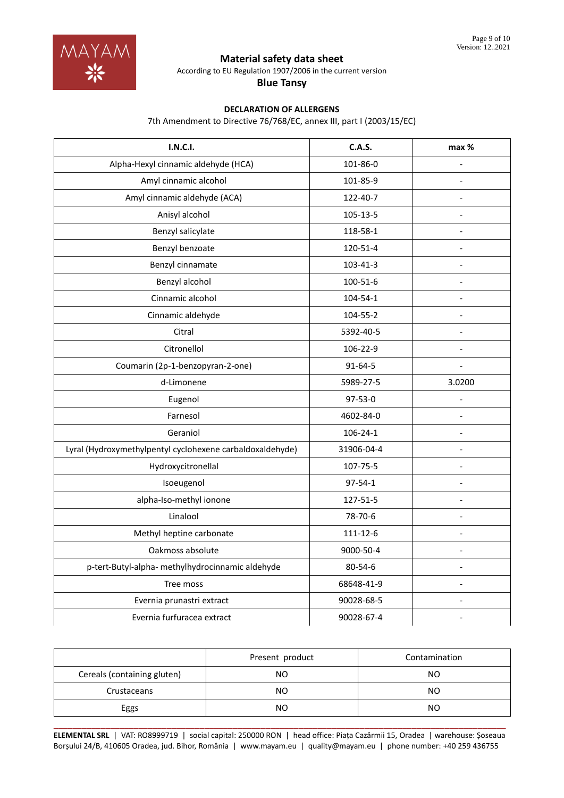

According to EU Regulation 1907/2006 in the current version

**Blue Tansy**

# **DECLARATION OF ALLERGENS**

7th Amendment to Directive 76/768/EC, annex III, part I (2003/15/EC)

| <b>I.N.C.I.</b>                                           | <b>C.A.S.</b>  | max %                        |
|-----------------------------------------------------------|----------------|------------------------------|
| Alpha-Hexyl cinnamic aldehyde (HCA)                       | 101-86-0       | $\overline{a}$               |
| Amyl cinnamic alcohol                                     | 101-85-9       | $\frac{1}{2}$                |
| Amyl cinnamic aldehyde (ACA)                              | 122-40-7       |                              |
| Anisyl alcohol                                            | 105-13-5       | $\blacksquare$               |
| Benzyl salicylate                                         | 118-58-1       | $\overline{a}$               |
| Benzyl benzoate                                           | 120-51-4       |                              |
| Benzyl cinnamate                                          | 103-41-3       | $\overline{a}$               |
| Benzyl alcohol                                            | 100-51-6       | Ĭ.                           |
| Cinnamic alcohol                                          | 104-54-1       | $\overline{a}$               |
| Cinnamic aldehyde                                         | 104-55-2       | L.                           |
| Citral                                                    | 5392-40-5      |                              |
| Citronellol                                               | 106-22-9       | $\overline{\phantom{a}}$     |
| Coumarin (2p-1-benzopyran-2-one)                          | 91-64-5        |                              |
| d-Limonene                                                | 5989-27-5      | 3.0200                       |
| Eugenol                                                   | 97-53-0        | $\qquad \qquad \blacksquare$ |
| Farnesol                                                  | 4602-84-0      | $\qquad \qquad \blacksquare$ |
| Geraniol                                                  | $106 - 24 - 1$ |                              |
| Lyral (Hydroxymethylpentyl cyclohexene carbaldoxaldehyde) | 31906-04-4     |                              |
| Hydroxycitronellal                                        | 107-75-5       | $\overline{a}$               |
| Isoeugenol                                                | $97 - 54 - 1$  |                              |
| alpha-Iso-methyl ionone                                   | 127-51-5       | $\overline{\phantom{a}}$     |
| Linalool                                                  | 78-70-6        | $\overline{a}$               |
| Methyl heptine carbonate                                  | 111-12-6       |                              |
| Oakmoss absolute                                          | 9000-50-4      | $\overline{\phantom{a}}$     |
| p-tert-Butyl-alpha- methylhydrocinnamic aldehyde          | 80-54-6        | $\overline{a}$               |
| Tree moss                                                 | 68648-41-9     | $\overline{a}$               |
| Evernia prunastri extract                                 | 90028-68-5     | $\overline{\phantom{a}}$     |
| Evernia furfuracea extract                                | 90028-67-4     |                              |

|                             | Present product | Contamination |
|-----------------------------|-----------------|---------------|
| Cereals (containing gluten) | NO              | NΟ            |
| Crustaceans                 | NO.             | NΟ            |
| Eggs                        | NO              | NΟ            |

\_\_\_\_\_\_\_\_\_\_\_\_\_\_\_\_\_\_\_\_\_\_\_\_\_\_\_\_\_\_\_\_\_\_\_\_\_\_\_\_\_\_\_\_\_\_\_\_\_\_\_\_\_\_\_\_\_\_\_\_\_\_\_\_\_\_\_\_\_\_\_\_\_\_\_\_\_\_\_\_\_\_\_\_\_\_\_\_\_\_\_\_\_\_\_\_ **ELEMENTAL SRL** | VAT: RO8999719 | social capital: 250000 RON | head office: Piața Cazărmii 15, Oradea | warehouse: Șoseaua Borșului 24/B, 410605 Oradea, jud. Bihor, România | www.mayam.eu | quality@mayam.eu | phone number: +40 259 436755